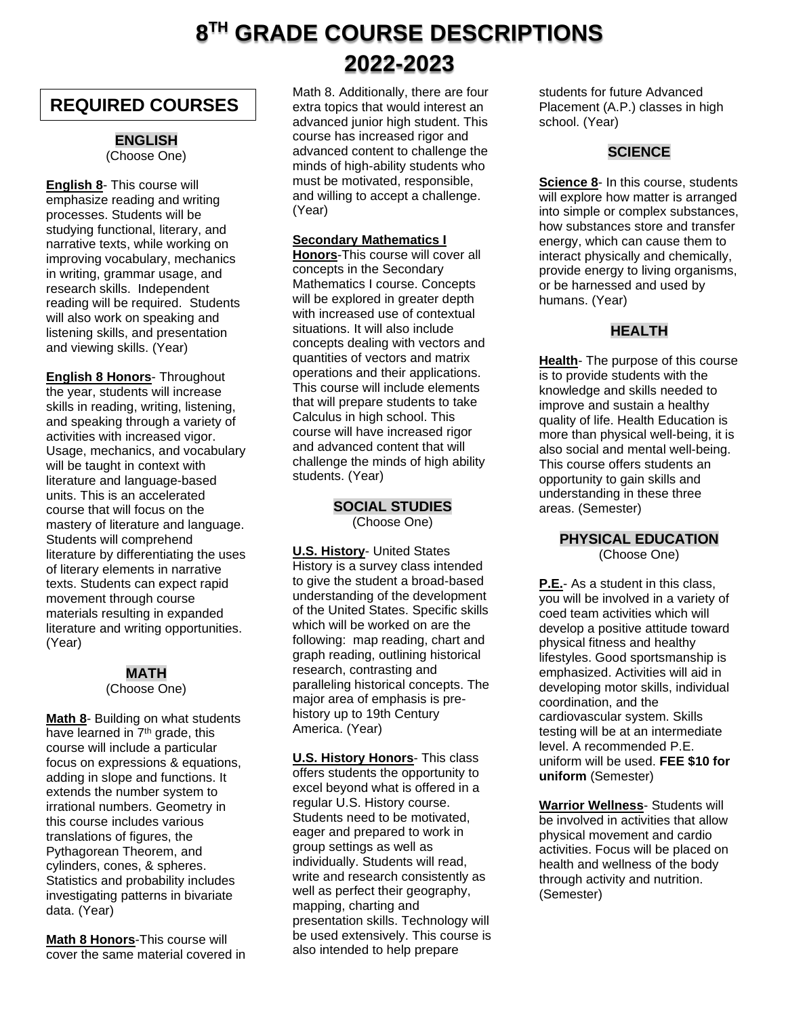# **8 TH GRADE COURSE DESCRIPTIONS 2022-2023**

# **REQUIRED COURSES**

#### **ENGLISH** (Choose One)

**English 8**- This course will emphasize reading and writing processes. Students will be studying functional, literary, and narrative texts, while working on improving vocabulary, mechanics in writing, grammar usage, and research skills. Independent reading will be required. Students will also work on speaking and listening skills, and presentation and viewing skills. (Year)

**English 8 Honors**- Throughout the year, students will increase skills in reading, writing, listening, and speaking through a variety of activities with increased vigor. Usage, mechanics, and vocabulary will be taught in context with literature and language-based units. This is an accelerated course that will focus on the mastery of literature and language. Students will comprehend literature by differentiating the uses of literary elements in narrative texts. Students can expect rapid movement through course materials resulting in expanded literature and writing opportunities. (Year)

# **MATH**

(Choose One)

**Math 8**- Building on what students have learned in 7<sup>th</sup> grade, this course will include a particular focus on expressions & equations, adding in slope and functions. It extends the number system to irrational numbers. Geometry in this course includes various translations of figures, the Pythagorean Theorem, and cylinders, cones, & spheres. Statistics and probability includes investigating patterns in bivariate data. (Year)

**Math 8 Honors**-This course will cover the same material covered in Math 8. Additionally, there are four extra topics that would interest an advanced junior high student. This course has increased rigor and advanced content to challenge the minds of high-ability students who must be motivated, responsible, and willing to accept a challenge. (Year)

# **Secondary Mathematics I**

**Honors**-This course will cover all concepts in the Secondary Mathematics I course. Concepts will be explored in greater depth with increased use of contextual situations. It will also include concepts dealing with vectors and quantities of vectors and matrix operations and their applications. This course will include elements that will prepare students to take Calculus in high school. This course will have increased rigor and advanced content that will challenge the minds of high ability students. (Year)

> **SOCIAL STUDIES** (Choose One)

**U.S. History**- United States History is a survey class intended to give the student a broad-based understanding of the development of the United States. Specific skills which will be worked on are the following: map reading, chart and graph reading, outlining historical research, contrasting and paralleling historical concepts. The major area of emphasis is prehistory up to 19th Century America. (Year)

**U.S. History Honors**- This class offers students the opportunity to excel beyond what is offered in a regular U.S. History course. Students need to be motivated, eager and prepared to work in group settings as well as individually. Students will read, write and research consistently as well as perfect their geography, mapping, charting and presentation skills. Technology will be used extensively. This course is also intended to help prepare

students for future Advanced Placement (A.P.) classes in high school. (Year)

# **SCIENCE**

**Science 8**- In this course, students will explore how matter is arranged into simple or complex substances, how substances store and transfer energy, which can cause them to interact physically and chemically, provide energy to living organisms, or be harnessed and used by humans. (Year)

# **HEALTH**

**Health**- The purpose of this course is to provide students with the knowledge and skills needed to improve and sustain a healthy quality of life. Health Education is more than physical well-being, it is also social and mental well-being. This course offers students an opportunity to gain skills and understanding in these three areas. (Semester)

# **PHYSICAL EDUCATION**

(Choose One)

**P.E.**- As a student in this class, you will be involved in a variety of coed team activities which will develop a positive attitude toward physical fitness and healthy lifestyles. Good sportsmanship is emphasized. Activities will aid in developing motor skills, individual coordination, and the cardiovascular system. Skills testing will be at an intermediate level. A recommended P.E. uniform will be used. **FEE \$10 for uniform** (Semester)

**Warrior Wellness**- Students will be involved in activities that allow physical movement and cardio activities. Focus will be placed on health and wellness of the body through activity and nutrition. (Semester)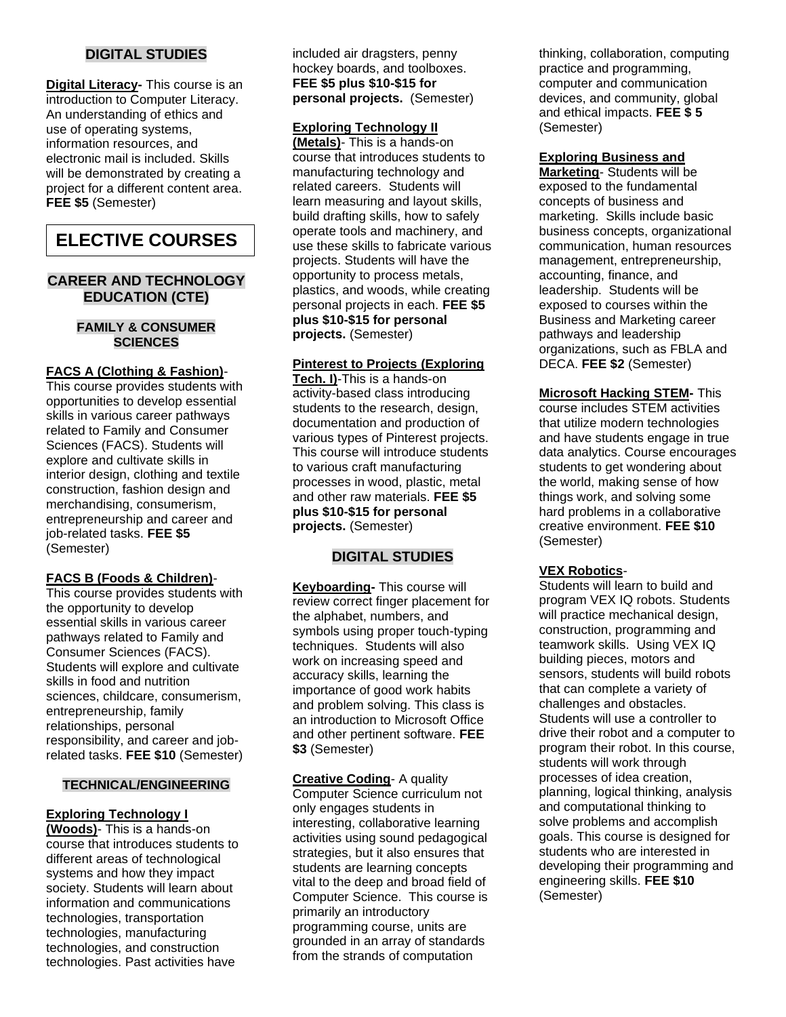# **DIGITAL STUDIES**

**Digital Literacy-** This course is an introduction to Computer Literacy. An understanding of ethics and use of operating systems, information resources, and electronic mail is included. Skills will be demonstrated by creating a project for a different content area. **FEE \$5** (Semester)

# **ELECTIVE COURSES**

## **CAREER AND TECHNOLOGY EDUCATION (CTE)**

### **FAMILY & CONSUMER SCIENCES**

## **FACS A (Clothing & Fashion)**-

This course provides students with opportunities to develop essential skills in various career pathways related to Family and Consumer Sciences (FACS). Students will explore and cultivate skills in interior design, clothing and textile construction, fashion design and merchandising, consumerism, entrepreneurship and career and job-related tasks. **FEE \$5**  (Semester)

### **FACS B (Foods & Children)**-

This course provides students with the opportunity to develop essential skills in various career pathways related to Family and Consumer Sciences (FACS). Students will explore and cultivate skills in food and nutrition sciences, childcare, consumerism, entrepreneurship, family relationships, personal responsibility, and career and jobrelated tasks. **FEE \$10** (Semester)

### **TECHNICAL/ENGINEERING**

### **Exploring Technology I**

**(Woods)**- This is a hands-on course that introduces students to different areas of technological systems and how they impact society. Students will learn about information and communications technologies, transportation technologies, manufacturing technologies, and construction technologies. Past activities have

included air dragsters, penny hockey boards, and toolboxes. **FEE \$5 plus \$10-\$15 for personal projects.** (Semester)

### **Exploring Technology II**

**(Metals)**- This is a hands-on course that introduces students to manufacturing technology and related careers. Students will learn measuring and layout skills, build drafting skills, how to safely operate tools and machinery, and use these skills to fabricate various projects. Students will have the opportunity to process metals, plastics, and woods, while creating personal projects in each. **FEE \$5 plus \$10-\$15 for personal projects.** (Semester)

## **Pinterest to Projects (Exploring**

**Tech. I)**-This is a hands-on activity-based class introducing students to the research, design, documentation and production of various types of Pinterest projects. This course will introduce students to various craft manufacturing processes in wood, plastic, metal and other raw materials. **FEE \$5 plus \$10-\$15 for personal projects.** (Semester)

## **DIGITAL STUDIES**

**Keyboarding-** This course will review correct finger placement for the alphabet, numbers, and symbols using proper touch-typing techniques. Students will also work on increasing speed and accuracy skills, learning the importance of good work habits and problem solving. This class is an introduction to Microsoft Office and other pertinent software. **FEE \$3** (Semester)

**Creative Coding**- A quality Computer Science curriculum not only engages students in interesting, collaborative learning activities using sound pedagogical strategies, but it also ensures that students are learning concepts vital to the deep and broad field of Computer Science. This course is primarily an introductory programming course, units are grounded in an array of standards from the strands of computation

thinking, collaboration, computing practice and programming, computer and communication devices, and community, global and ethical impacts. **FEE \$ 5**  (Semester)

#### **Exploring Business and**

**Marketing**- Students will be exposed to the fundamental concepts of business and marketing. Skills include basic business concepts, organizational communication, human resources management, entrepreneurship, accounting, finance, and leadership. Students will be exposed to courses within the Business and Marketing career pathways and leadership organizations, such as FBLA and DECA. **FEE \$2** (Semester)

**Microsoft Hacking STEM-** This course includes STEM activities that utilize modern technologies and have students engage in true data analytics. Course encourages students to get wondering about the world, making sense of how things work, and solving some hard problems in a collaborative creative environment. **FEE \$10**  (Semester)

### **VEX Robotics**-

Students will learn to build and program VEX IQ robots. Students will practice mechanical design, construction, programming and teamwork skills. Using VEX IQ building pieces, motors and sensors, students will build robots that can complete a variety of challenges and obstacles. Students will use a controller to drive their robot and a computer to program their robot. In this course, students will work through processes of idea creation, planning, logical thinking, analysis and computational thinking to solve problems and accomplish goals. This course is designed for students who are interested in developing their programming and engineering skills. **FEE \$10**  (Semester)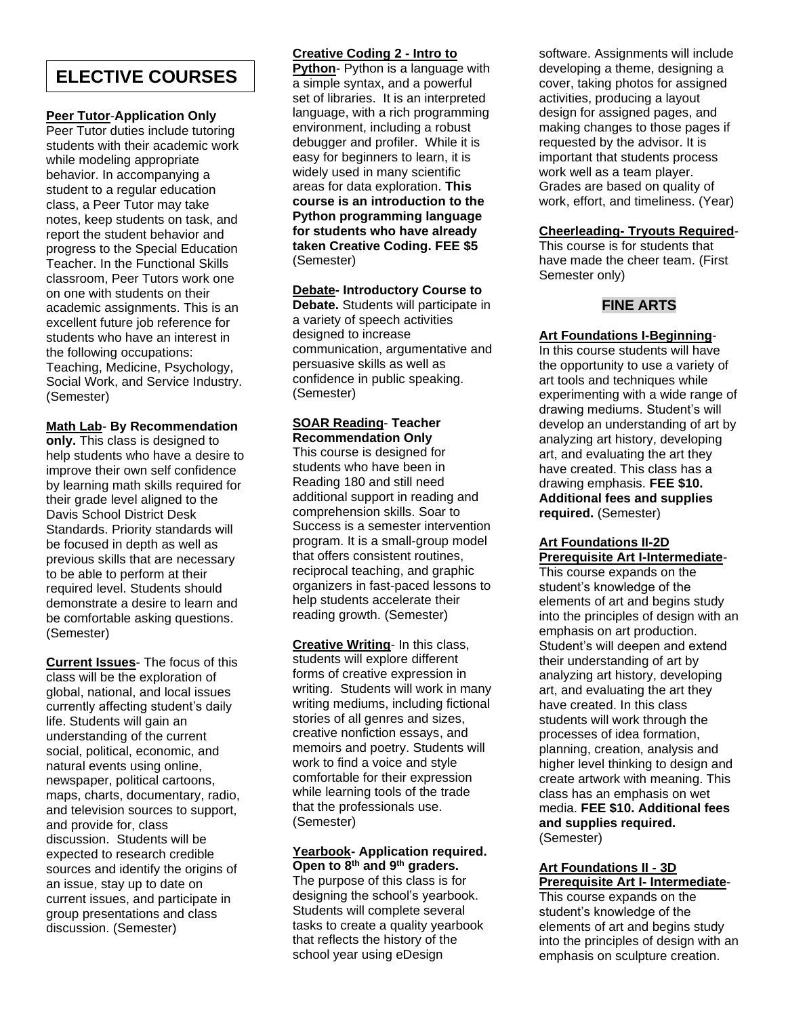# **ELECTIVE COURSES**

# **Peer Tutor**-**Application Only**

Peer Tutor duties include tutoring students with their academic work while modeling appropriate behavior. In accompanying a student to a regular education class, a Peer Tutor may take notes, keep students on task, and report the student behavior and progress to the Special Education Teacher. In the Functional Skills classroom, Peer Tutors work one on one with students on their academic assignments. This is an excellent future job reference for students who have an interest in the following occupations: Teaching, Medicine, Psychology, Social Work, and Service Industry. (Semester)

## **Math Lab**- **By Recommendation**

**only.** This class is designed to help students who have a desire to improve their own self confidence by learning math skills required for their grade level aligned to the Davis School District Desk Standards. Priority standards will be focused in depth as well as previous skills that are necessary to be able to perform at their required level. Students should demonstrate a desire to learn and be comfortable asking questions. (Semester)

**Current Issues**- The focus of this class will be the exploration of global, national, and local issues currently affecting student's daily life. Students will gain an understanding of the current social, political, economic, and natural events using online, newspaper, political cartoons, maps, charts, documentary, radio, and television sources to support, and provide for, class discussion. Students will be expected to research credible sources and identify the origins of an issue, stay up to date on current issues, and participate in group presentations and class discussion. (Semester)

## **Creative Coding 2 - Intro to**

**Python**- Python is a language with a simple syntax, and a powerful set of libraries. It is an interpreted language, with a rich programming environment, including a robust debugger and profiler. While it is easy for beginners to learn, it is widely used in many scientific areas for data exploration. **This course is an introduction to the Python programming language for students who have already taken Creative Coding. FEE \$5** (Semester)

### **Debate- Introductory Course to**

**Debate.** Students will participate in a variety of speech activities designed to increase communication, argumentative and persuasive skills as well as confidence in public speaking. (Semester)

#### **SOAR Reading**- **Teacher Recommendation Only**

This course is designed for students who have been in Reading 180 and still need additional support in reading and comprehension skills. Soar to Success is a semester intervention program. It is a small-group model that offers consistent routines, reciprocal teaching, and graphic organizers in fast-paced lessons to help students accelerate their reading growth. (Semester)

**Creative Writing**- In this class, students will explore different forms of creative expression in writing. Students will work in many writing mediums, including fictional stories of all genres and sizes, creative nonfiction essays, and memoirs and poetry. Students will work to find a voice and style comfortable for their expression while learning tools of the trade that the professionals use. (Semester)

### **Yearbook- Application required. Open to 8th and 9th graders.**

The purpose of this class is for designing the school's yearbook. Students will complete several tasks to create a quality yearbook that reflects the history of the school year using eDesign

software. Assignments will include developing a theme, designing a cover, taking photos for assigned activities, producing a layout design for assigned pages, and making changes to those pages if requested by the advisor. It is important that students process work well as a team player. Grades are based on quality of work, effort, and timeliness. (Year)

## **Cheerleading- Tryouts Required**-

This course is for students that have made the cheer team. (First Semester only)

# **FINE ARTS**

## **Art Foundations I-Beginning**-

In this course students will have the opportunity to use a variety of art tools and techniques while experimenting with a wide range of drawing mediums. Student's will develop an understanding of art by analyzing art history, developing art, and evaluating the art they have created. This class has a drawing emphasis. **FEE \$10. Additional fees and supplies required.** (Semester)

# **Art Foundations II-2D Prerequisite Art I-Intermediate**-

This course expands on the student's knowledge of the elements of art and begins study into the principles of design with an emphasis on art production. Student's will deepen and extend their understanding of art by analyzing art history, developing art, and evaluating the art they have created. In this class students will work through the processes of idea formation, planning, creation, analysis and higher level thinking to design and create artwork with meaning. This class has an emphasis on wet media. **FEE \$10. Additional fees and supplies required.**  (Semester)

### **Art Foundations II - 3D Prerequisite Art I- Intermediate**-

This course expands on the student's knowledge of the elements of art and begins study into the principles of design with an emphasis on sculpture creation.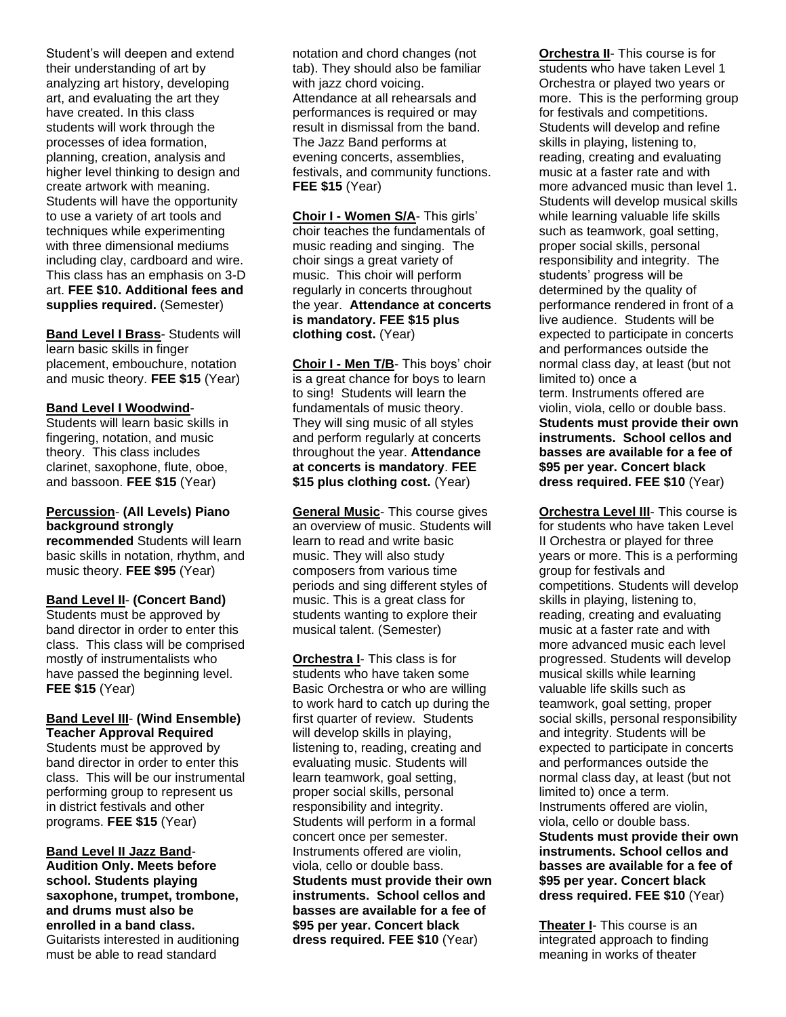Student's will deepen and extend their understanding of art by analyzing art history, developing art, and evaluating the art they have created. In this class students will work through the processes of idea formation, planning, creation, analysis and higher level thinking to design and create artwork with meaning. Students will have the opportunity to use a variety of art tools and techniques while experimenting with three dimensional mediums including clay, cardboard and wire. This class has an emphasis on 3-D art. **FEE \$10. Additional fees and supplies required.** (Semester)

**Band Level I Brass**- Students will learn basic skills in finger placement, embouchure, notation and music theory. **FEE \$15** (Year)

### **Band Level I Woodwind**-

Students will learn basic skills in fingering, notation, and music theory. This class includes clarinet, saxophone, flute, oboe, and bassoon. **FEE \$15** (Year)

## **Percussion**- **(All Levels) Piano background strongly**

**recommended** Students will learn basic skills in notation, rhythm, and music theory. **FEE \$95** (Year)

## **Band Level II**- **(Concert Band)**

Students must be approved by band director in order to enter this class. This class will be comprised mostly of instrumentalists who have passed the beginning level. **FEE \$15** (Year)

#### **Band Level III**- **(Wind Ensemble) Teacher Approval Required**

Students must be approved by band director in order to enter this class. This will be our instrumental performing group to represent us in district festivals and other programs. **FEE \$15** (Year)

#### **Band Level II Jazz Band**-**Audition Only. Meets before school. Students playing saxophone, trumpet, trombone, and drums must also be enrolled in a band class.** Guitarists interested in auditioning must be able to read standard

notation and chord changes (not tab). They should also be familiar with jazz chord voicing. Attendance at all rehearsals and performances is required or may result in dismissal from the band. The Jazz Band performs at evening concerts, assemblies, festivals, and community functions. **FEE \$15** (Year)

**Choir I - Women S/A**- This girls' choir teaches the fundamentals of music reading and singing. The choir sings a great variety of music. This choir will perform regularly in concerts throughout the year. **Attendance at concerts is mandatory. FEE \$15 plus clothing cost.** (Year)

**Choir I - Men T/B**- This boys' choir is a great chance for boys to learn to sing! Students will learn the fundamentals of music theory. They will sing music of all styles and perform regularly at concerts throughout the year. **Attendance at concerts is mandatory**. **FEE \$15 plus clothing cost.** (Year)

**General Music**- This course gives an overview of music. Students will learn to read and write basic music. They will also study composers from various time periods and sing different styles of music. This is a great class for students wanting to explore their musical talent. (Semester)

**Orchestra I**- This class is for students who have taken some Basic Orchestra or who are willing to work hard to catch up during the first quarter of review. Students will develop skills in playing, listening to, reading, creating and evaluating music. Students will learn teamwork, goal setting, proper social skills, personal responsibility and integrity. Students will perform in a formal concert once per semester. Instruments offered are violin, viola, cello or double bass. **Students must provide their own instruments. School cellos and basses are available for a fee of \$95 per year. Concert black dress required. FEE \$10** (Year)

**Orchestra II**- This course is for students who have taken Level 1 Orchestra or played two years or more. This is the performing group for festivals and competitions. Students will develop and refine skills in playing, listening to, reading, creating and evaluating music at a faster rate and with more advanced music than level 1. Students will develop musical skills while learning valuable life skills such as teamwork, goal setting, proper social skills, personal responsibility and integrity. The students' progress will be determined by the quality of performance rendered in front of a live audience. Students will be expected to participate in concerts and performances outside the normal class day, at least (but not limited to) once a term. Instruments offered are violin, viola, cello or double bass. **Students must provide their own instruments. School cellos and basses are available for a fee of \$95 per year. Concert black dress required. FEE \$10** (Year)

**Orchestra Level III**- This course is for students who have taken Level II Orchestra or played for three years or more. This is a performing group for festivals and competitions. Students will develop skills in playing, listening to, reading, creating and evaluating music at a faster rate and with more advanced music each level progressed. Students will develop musical skills while learning valuable life skills such as teamwork, goal setting, proper social skills, personal responsibility and integrity. Students will be expected to participate in concerts and performances outside the normal class day, at least (but not limited to) once a term. Instruments offered are violin, viola, cello or double bass. **Students must provide their own instruments. School cellos and basses are available for a fee of \$95 per year. Concert black dress required. FEE \$10** (Year)

**Theater I**- This course is an integrated approach to finding meaning in works of theater